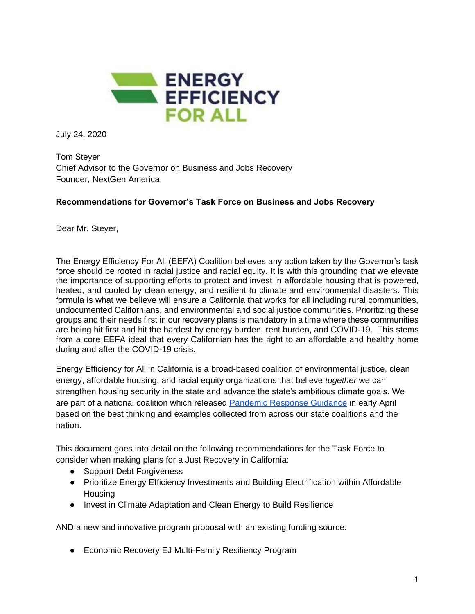

July 24, 2020

Tom Steyer Chief Advisor to the Governor on Business and Jobs Recovery Founder, NextGen America

## **Recommendations for Governor's Task Force on Business and Jobs Recovery**

Dear Mr. Steyer,

The Energy Efficiency For All (EEFA) Coalition believes any action taken by the Governor's task force should be rooted in racial justice and racial equity. It is with this grounding that we elevate the importance of supporting efforts to protect and invest in affordable housing that is powered, heated, and cooled by clean energy, and resilient to climate and environmental disasters. This formula is what we believe will ensure a California that works for all including rural communities, undocumented Californians, and environmental and social justice communities. Prioritizing these groups and their needs first in our recovery plans is mandatory in a time where these communities are being hit first and hit the hardest by energy burden, rent burden, and COVID-19. This stems from a core EEFA ideal that every Californian has the right to an affordable and healthy home during and after the COVID-19 crisis.

Energy Efficiency for All in California is a broad-based coalition of environmental justice, clean energy, affordable housing, and racial equity organizations that believe *together* we can strengthen housing security in the state and advance the state's ambitious climate goals. We are part of a national coalition which released [Pandemic Response Guidance](https://www.energyefficiencyforall.org/resources/eefa-pandemic-response-guidance/) in early April based on the best thinking and examples collected from across our state coalitions and the nation.

This document goes into detail on the following recommendations for the Task Force to consider when making plans for a Just Recovery in California:

- Support Debt Forgiveness
- Prioritize Energy Efficiency Investments and Building Electrification within Affordable **Housing**
- Invest in Climate Adaptation and Clean Energy to Build Resilience

AND a new and innovative program proposal with an existing funding source:

● Economic Recovery EJ Multi-Family Resiliency Program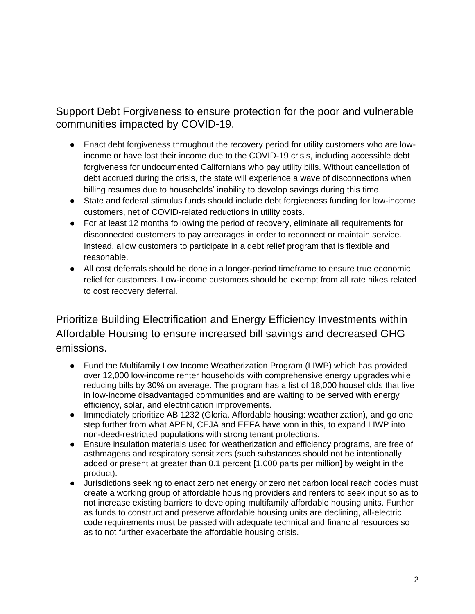Support Debt Forgiveness to ensure protection for the poor and vulnerable communities impacted by COVID-19.

- Enact debt forgiveness throughout the recovery period for utility customers who are lowincome or have lost their income due to the COVID-19 crisis, including accessible debt forgiveness for undocumented Californians who pay utility bills. Without cancellation of debt accrued during the crisis, the state will experience a wave of disconnections when billing resumes due to households' inability to develop savings during this time.
- State and federal stimulus funds should include debt forgiveness funding for low-income customers, net of COVID-related reductions in utility costs.
- For at least 12 months following the period of recovery, eliminate all requirements for disconnected customers to pay arrearages in order to reconnect or maintain service. Instead, allow customers to participate in a debt relief program that is flexible and reasonable.
- All cost deferrals should be done in a longer-period timeframe to ensure true economic relief for customers. Low-income customers should be exempt from all rate hikes related to cost recovery deferral.

Prioritize Building Electrification and Energy Efficiency Investments within Affordable Housing to ensure increased bill savings and decreased GHG emissions.

- Fund the Multifamily Low Income Weatherization Program (LIWP) which has provided over 12,000 low-income renter households with comprehensive energy upgrades while reducing bills by 30% on average. The program has a list of 18,000 households that live in low-income disadvantaged communities and are waiting to be served with energy efficiency, solar, and electrification improvements.
- Immediately prioritize AB 1232 (Gloria. Affordable housing: weatherization), and go one step further from what APEN, CEJA and EEFA have won in this, to expand LIWP into non-deed-restricted populations with strong tenant protections.
- Ensure insulation materials used for weatherization and efficiency programs, are free of asthmagens and respiratory sensitizers (such substances should not be intentionally added or present at greater than 0.1 percent [1,000 parts per million] by weight in the product).
- Jurisdictions seeking to enact zero net energy or zero net carbon local reach codes must create a working group of affordable housing providers and renters to seek input so as to not increase existing barriers to developing multifamily affordable housing units. Further as funds to construct and preserve affordable housing units are declining, all-electric code requirements must be passed with adequate technical and financial resources so as to not further exacerbate the affordable housing crisis.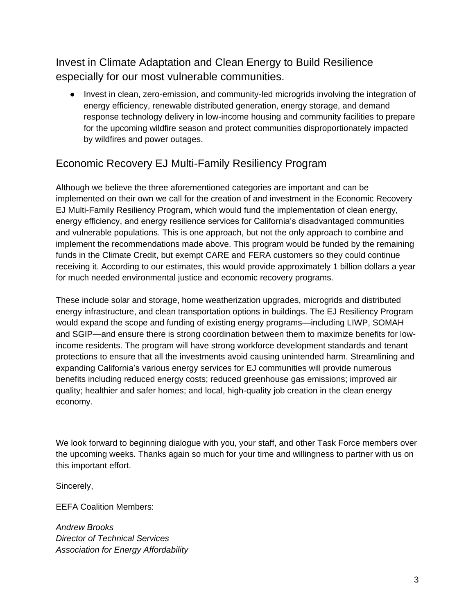Invest in Climate Adaptation and Clean Energy to Build Resilience especially for our most vulnerable communities.

● Invest in clean, zero-emission, and community-led microgrids involving the integration of energy efficiency, renewable distributed generation, energy storage, and demand response technology delivery in low-income housing and community facilities to prepare for the upcoming wildfire season and protect communities disproportionately impacted by wildfires and power outages.

## Economic Recovery EJ Multi-Family Resiliency Program

Although we believe the three aforementioned categories are important and can be implemented on their own we call for the creation of and investment in the Economic Recovery EJ Multi-Family Resiliency Program, which would fund the implementation of clean energy, energy efficiency, and energy resilience services for California's disadvantaged communities and vulnerable populations. This is one approach, but not the only approach to combine and implement the recommendations made above. This program would be funded by the remaining funds in the Climate Credit, but exempt CARE and FERA customers so they could continue receiving it. According to our estimates, this would provide approximately 1 billion dollars a year for much needed environmental justice and economic recovery programs.

These include solar and storage, home weatherization upgrades, microgrids and distributed energy infrastructure, and clean transportation options in buildings. The EJ Resiliency Program would expand the scope and funding of existing energy programs—including LIWP, SOMAH and SGIP—and ensure there is strong coordination between them to maximize benefits for lowincome residents. The program will have strong workforce development standards and tenant protections to ensure that all the investments avoid causing unintended harm. Streamlining and expanding California's various energy services for EJ communities will provide numerous benefits including reduced energy costs; reduced greenhouse gas emissions; improved air quality; healthier and safer homes; and local, high-quality job creation in the clean energy economy.

We look forward to beginning dialogue with you, your staff, and other Task Force members over the upcoming weeks. Thanks again so much for your time and willingness to partner with us on this important effort.

Sincerely,

EEFA Coalition Members:

*Andrew Brooks Director of Technical Services Association for Energy Affordability*